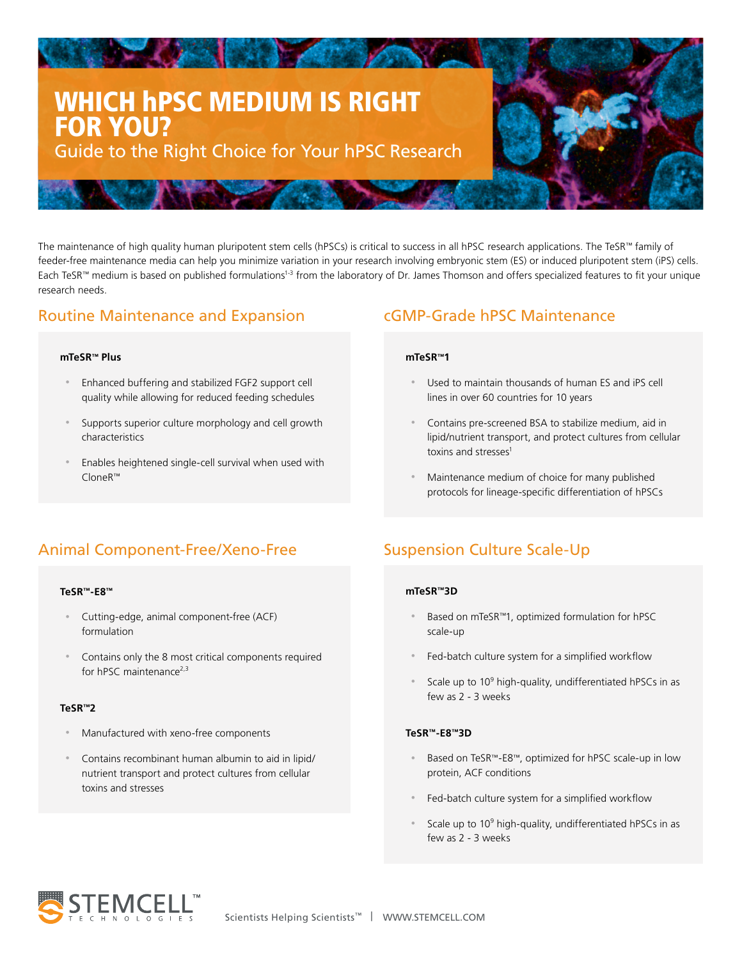# WHICH hPSC MEDIUM IS RIGHT FOR YOU? Guide to the Right Choice for Your hPSC Research

**The Committee of the Committee of the Committee of the Committee of the Committee of the Committee of the Committee of the Committee of the Committee of the Committee of the Committee of the Committee of the Committee of** 

The maintenance of high quality human pluripotent stem cells (hPSCs) is critical to success in all hPSC research applications. The TeSR™ family of feeder-free maintenance media can help you minimize variation in your research involving embryonic stem (ES) or induced pluripotent stem (iPS) cells. Each TeSR™ medium is based on published formulations<sup>1-3</sup> from the laboratory of Dr. James Thomson and offers specialized features to fit your unique research needs.

# Routine Maintenance and Expansion

### **mTeSR™ Plus**

- Enhanced buffering and stabilized FGF2 support cell quality while allowing for reduced feeding schedules
- Supports superior culture morphology and cell growth characteristics
- Enables heightened single-cell survival when used with CloneR™

# cGMP-Grade hPSC Maintenance

### **mTeSR™1**

- Used to maintain thousands of human ES and iPS cell lines in over 60 countries for 10 years
- Contains pre-screened BSA to stabilize medium, aid in lipid/nutrient transport, and protect cultures from cellular toxins and stresses<sup>1</sup>
- Maintenance medium of choice for many published protocols for lineage-specific differentiation of hPSCs

# Animal Component-Free/Xeno-Free

### **TeSR™-E8™**

- Cutting-edge, animal component-free (ACF) formulation
- Contains only the 8 most critical components required for hPSC maintenance<sup>2,3</sup>

## **TeSR™2**

- Manufactured with xeno-free components
- Contains recombinant human albumin to aid in lipid/ nutrient transport and protect cultures from cellular toxins and stresses

# Suspension Culture Scale-Up

## **mTeSR™3D**

- Based on mTeSR™1, optimized formulation for hPSC scale-up
- Fed-batch culture system for a simplified workflow
- Scale up to  $10^9$  high-quality, undifferentiated hPSCs in as few as 2 - 3 weeks

### **TeSR™-E8™3D**

- Based on TeSR™-E8™, optimized for hPSC scale-up in low protein, ACF conditions
- Fed-batch culture system for a simplified workflow
- Scale up to  $10^9$  high-quality, undifferentiated hPSCs in as few as 2 - 3 weeks